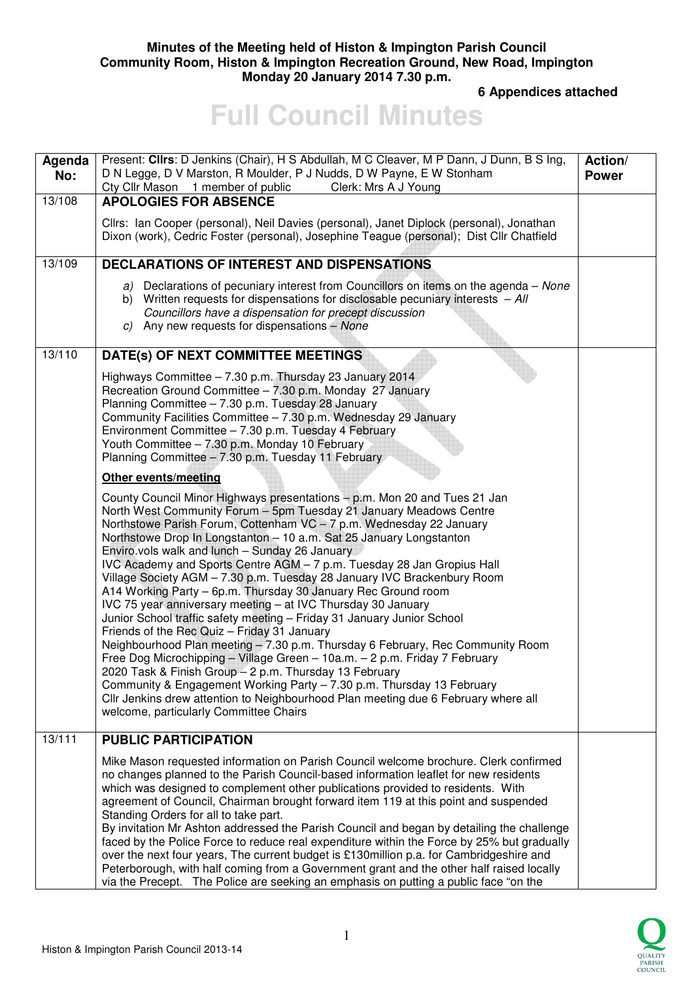### **Minutes of the Meeting held of Histon & Impington Parish Council Community Room, Histon & Impington Recreation Ground, New Road, Impington Monday 20 January 2014 7.30 p.m.**

 **6 Appendices attached** 

# **Full Council Minutes**

| Agenda<br>No: | Present: Clirs: D Jenkins (Chair), H S Abdullah, M C Cleaver, M P Dann, J Dunn, B S Ing,<br>D N Legge, D V Marston, R Moulder, P J Nudds, D W Payne, E W Stonham<br>Cty Cllr Mason 1 member of public<br>Clerk: Mrs A J Young                                                                                                                                                                                                                                                                                                                                                                                                                                                                                                                                                                                                                                                                                                                                                                                                                                                                                                                                                                     | Action/<br><b>Power</b> |
|---------------|---------------------------------------------------------------------------------------------------------------------------------------------------------------------------------------------------------------------------------------------------------------------------------------------------------------------------------------------------------------------------------------------------------------------------------------------------------------------------------------------------------------------------------------------------------------------------------------------------------------------------------------------------------------------------------------------------------------------------------------------------------------------------------------------------------------------------------------------------------------------------------------------------------------------------------------------------------------------------------------------------------------------------------------------------------------------------------------------------------------------------------------------------------------------------------------------------|-------------------------|
| 13/108        | <b>APOLOGIES FOR ABSENCE</b>                                                                                                                                                                                                                                                                                                                                                                                                                                                                                                                                                                                                                                                                                                                                                                                                                                                                                                                                                                                                                                                                                                                                                                      |                         |
|               | Cllrs: Ian Cooper (personal), Neil Davies (personal), Janet Diplock (personal), Jonathan<br>Dixon (work), Cedric Foster (personal), Josephine Teague (personal); Dist Cllr Chatfield                                                                                                                                                                                                                                                                                                                                                                                                                                                                                                                                                                                                                                                                                                                                                                                                                                                                                                                                                                                                              |                         |
| 13/109        | <b>DECLARATIONS OF INTEREST AND DISPENSATIONS</b>                                                                                                                                                                                                                                                                                                                                                                                                                                                                                                                                                                                                                                                                                                                                                                                                                                                                                                                                                                                                                                                                                                                                                 |                         |
|               | a) Declarations of pecuniary interest from Councillors on items on the agenda - None<br>b) Written requests for dispensations for disclosable pecuniary interests $-AII$<br>Councillors have a dispensation for precept discussion<br>c) Any new requests for dispensations $-$ None                                                                                                                                                                                                                                                                                                                                                                                                                                                                                                                                                                                                                                                                                                                                                                                                                                                                                                              |                         |
| 13/110        | DATE(s) OF NEXT COMMITTEE MEETINGS                                                                                                                                                                                                                                                                                                                                                                                                                                                                                                                                                                                                                                                                                                                                                                                                                                                                                                                                                                                                                                                                                                                                                                |                         |
|               | Highways Committee - 7.30 p.m. Thursday 23 January 2014<br>Recreation Ground Committee - 7.30 p.m. Monday 27 January<br>Planning Committee - 7.30 p.m. Tuesday 28 January<br>Community Facilities Committee - 7.30 p.m. Wednesday 29 January<br>Environment Committee - 7.30 p.m. Tuesday 4 February<br>Youth Committee - 7.30 p.m. Monday 10 February<br>Planning Committee - 7.30 p.m. Tuesday 11 February                                                                                                                                                                                                                                                                                                                                                                                                                                                                                                                                                                                                                                                                                                                                                                                      |                         |
|               | <b>Other events/meeting</b>                                                                                                                                                                                                                                                                                                                                                                                                                                                                                                                                                                                                                                                                                                                                                                                                                                                                                                                                                                                                                                                                                                                                                                       |                         |
|               | County Council Minor Highways presentations - p.m. Mon 20 and Tues 21 Jan<br>North West Community Forum - 5pm Tuesday 21 January Meadows Centre<br>Northstowe Parish Forum, Cottenham VC - 7 p.m. Wednesday 22 January<br>Northstowe Drop In Longstanton - 10 a.m. Sat 25 January Longstanton<br>Enviro.vols walk and lunch - Sunday 26 January<br>IVC Academy and Sports Centre AGM - 7 p.m. Tuesday 28 Jan Gropius Hall<br>Village Society AGM - 7.30 p.m. Tuesday 28 January IVC Brackenbury Room<br>A14 Working Party - 6p.m. Thursday 30 January Rec Ground room<br>IVC 75 year anniversary meeting - at IVC Thursday 30 January<br>Junior School traffic safety meeting - Friday 31 January Junior School<br>Friends of the Rec Quiz - Friday 31 January<br>Neighbourhood Plan meeting - 7.30 p.m. Thursday 6 February, Rec Community Room<br>Free Dog Microchipping - Village Green - 10a.m. - 2 p.m. Friday 7 February<br>2020 Task & Finish Group - 2 p.m. Thursday 13 February<br>Community & Engagement Working Party - 7.30 p.m. Thursday 13 February<br>Cllr Jenkins drew attention to Neighbourhood Plan meeting due 6 February where all<br>welcome, particularly Committee Chairs |                         |
| 13/111        | <b>PUBLIC PARTICIPATION</b>                                                                                                                                                                                                                                                                                                                                                                                                                                                                                                                                                                                                                                                                                                                                                                                                                                                                                                                                                                                                                                                                                                                                                                       |                         |
|               | Mike Mason requested information on Parish Council welcome brochure. Clerk confirmed<br>no changes planned to the Parish Council-based information leaflet for new residents<br>which was designed to complement other publications provided to residents. With<br>agreement of Council, Chairman brought forward item 119 at this point and suspended<br>Standing Orders for all to take part.<br>By invitation Mr Ashton addressed the Parish Council and began by detailing the challenge<br>faced by the Police Force to reduce real expenditure within the Force by 25% but gradually<br>over the next four years, The current budget is £130million p.a. for Cambridgeshire and<br>Peterborough, with half coming from a Government grant and the other half raised locally<br>via the Precept. The Police are seeking an emphasis on putting a public face "on the                                                                                                                                                                                                                                                                                                                         |                         |

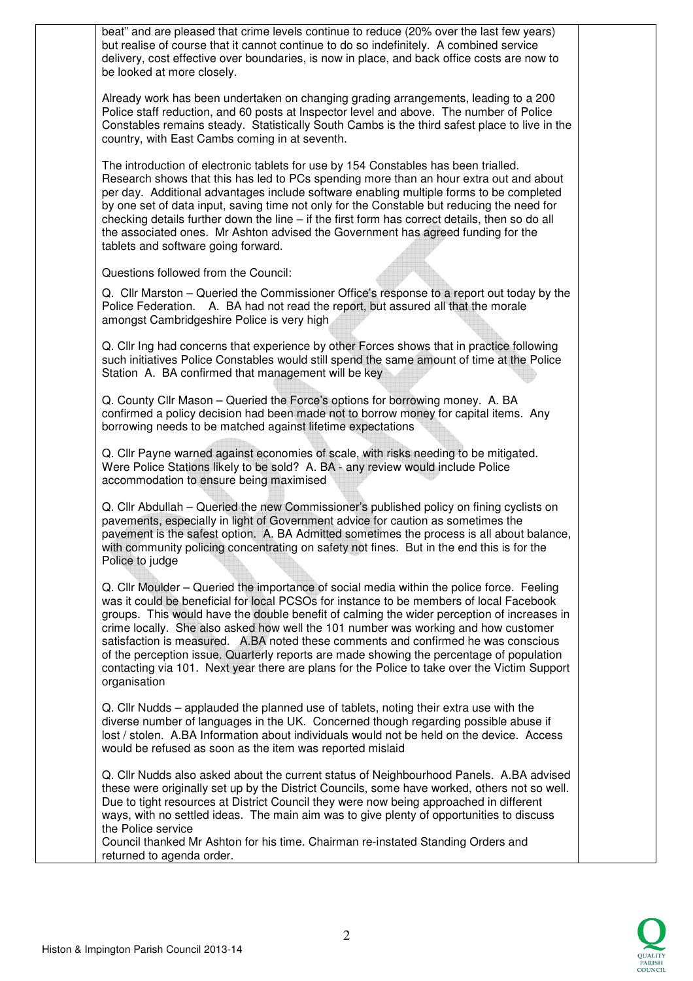beat" and are pleased that crime levels continue to reduce (20% over the last few years) but realise of course that it cannot continue to do so indefinitely. A combined service delivery, cost effective over boundaries, is now in place, and back office costs are now to be looked at more closely. Already work has been undertaken on changing grading arrangements, leading to a 200 Police staff reduction, and 60 posts at Inspector level and above. The number of Police Constables remains steady. Statistically South Cambs is the third safest place to live in the country, with East Cambs coming in at seventh. The introduction of electronic tablets for use by 154 Constables has been trialled. Research shows that this has led to PCs spending more than an hour extra out and about per day. Additional advantages include software enabling multiple forms to be completed by one set of data input, saving time not only for the Constable but reducing the need for checking details further down the line – if the first form has correct details, then so do all the associated ones. Mr Ashton advised the Government has agreed funding for the tablets and software going forward. Questions followed from the Council: Q. Cllr Marston – Queried the Commissioner Office's response to a report out today by the Police Federation. A. BA had not read the report, but assured all that the morale amongst Cambridgeshire Police is very high Q. Cllr Ing had concerns that experience by other Forces shows that in practice following such initiatives Police Constables would still spend the same amount of time at the Police Station A. BA confirmed that management will be key Q. County Cllr Mason – Queried the Force's options for borrowing money. A. BA confirmed a policy decision had been made not to borrow money for capital items. Any borrowing needs to be matched against lifetime expectations Q. Cllr Payne warned against economies of scale, with risks needing to be mitigated. Were Police Stations likely to be sold? A. BA - any review would include Police accommodation to ensure being maximised Q. Cllr Abdullah – Queried the new Commissioner's published policy on fining cyclists on pavements, especially in light of Government advice for caution as sometimes the pavement is the safest option. A. BA Admitted sometimes the process is all about balance, with community policing concentrating on safety not fines. But in the end this is for the Police to judge Q. Cllr Moulder – Queried the importance of social media within the police force. Feeling was it could be beneficial for local PCSOs for instance to be members of local Facebook groups. This would have the double benefit of calming the wider perception of increases in crime locally. She also asked how well the 101 number was working and how customer satisfaction is measured. A.BA noted these comments and confirmed he was conscious of the perception issue. Quarterly reports are made showing the percentage of population contacting via 101. Next year there are plans for the Police to take over the Victim Support organisation Q. Cllr Nudds – applauded the planned use of tablets, noting their extra use with the diverse number of languages in the UK. Concerned though regarding possible abuse if lost / stolen. A.BA Information about individuals would not be held on the device. Access would be refused as soon as the item was reported mislaid Q. Cllr Nudds also asked about the current status of Neighbourhood Panels. A.BA advised these were originally set up by the District Councils, some have worked, others not so well. Due to tight resources at District Council they were now being approached in different ways, with no settled ideas. The main aim was to give plenty of opportunities to discuss the Police service Council thanked Mr Ashton for his time. Chairman re-instated Standing Orders and returned to agenda order.

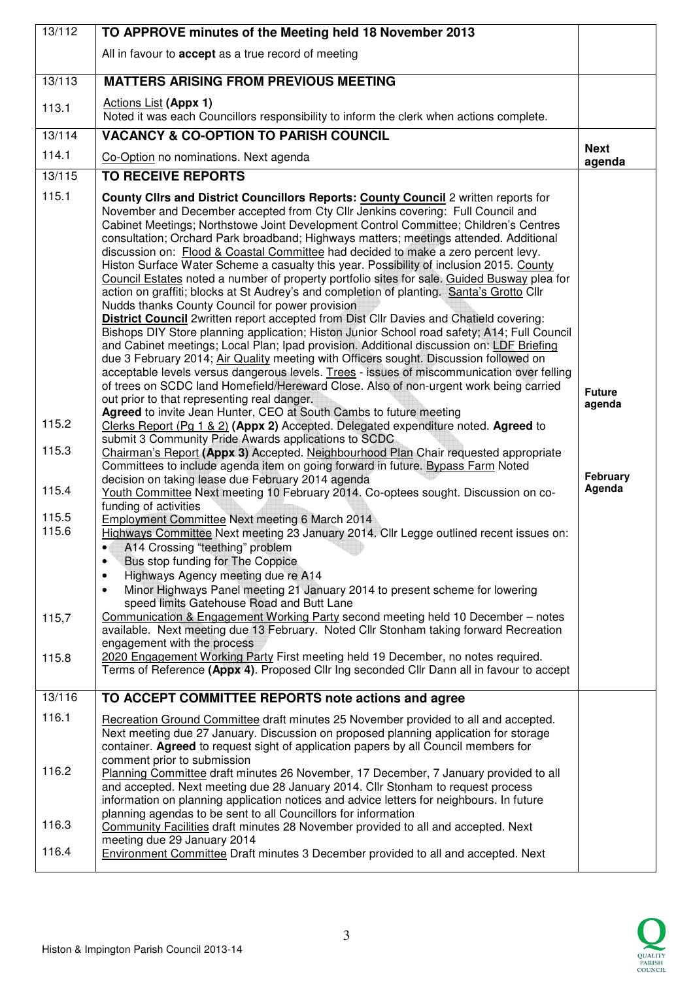| 13/112                                                               | TO APPROVE minutes of the Meeting held 18 November 2013                                                                                                                                                                                                                                                                                                                                                                                                                                                                                                                                                                                                                                                                                                                                                                                                                                                                                                                                                                                                                                                                                                                                                                                                                                                                                                                                                                                                                                                                                                                                                                                                                                                                                                                                                                                                                                                                                                                                                                                                                                                                                                                                                                                                                                                                                                                                                                                                                                                                                                                                                                                                                                                                                                                                                                   |                                               |
|----------------------------------------------------------------------|---------------------------------------------------------------------------------------------------------------------------------------------------------------------------------------------------------------------------------------------------------------------------------------------------------------------------------------------------------------------------------------------------------------------------------------------------------------------------------------------------------------------------------------------------------------------------------------------------------------------------------------------------------------------------------------------------------------------------------------------------------------------------------------------------------------------------------------------------------------------------------------------------------------------------------------------------------------------------------------------------------------------------------------------------------------------------------------------------------------------------------------------------------------------------------------------------------------------------------------------------------------------------------------------------------------------------------------------------------------------------------------------------------------------------------------------------------------------------------------------------------------------------------------------------------------------------------------------------------------------------------------------------------------------------------------------------------------------------------------------------------------------------------------------------------------------------------------------------------------------------------------------------------------------------------------------------------------------------------------------------------------------------------------------------------------------------------------------------------------------------------------------------------------------------------------------------------------------------------------------------------------------------------------------------------------------------------------------------------------------------------------------------------------------------------------------------------------------------------------------------------------------------------------------------------------------------------------------------------------------------------------------------------------------------------------------------------------------------------------------------------------------------------------------------------------------------|-----------------------------------------------|
|                                                                      | All in favour to accept as a true record of meeting                                                                                                                                                                                                                                                                                                                                                                                                                                                                                                                                                                                                                                                                                                                                                                                                                                                                                                                                                                                                                                                                                                                                                                                                                                                                                                                                                                                                                                                                                                                                                                                                                                                                                                                                                                                                                                                                                                                                                                                                                                                                                                                                                                                                                                                                                                                                                                                                                                                                                                                                                                                                                                                                                                                                                                       |                                               |
| 13/113                                                               | <b>MATTERS ARISING FROM PREVIOUS MEETING</b>                                                                                                                                                                                                                                                                                                                                                                                                                                                                                                                                                                                                                                                                                                                                                                                                                                                                                                                                                                                                                                                                                                                                                                                                                                                                                                                                                                                                                                                                                                                                                                                                                                                                                                                                                                                                                                                                                                                                                                                                                                                                                                                                                                                                                                                                                                                                                                                                                                                                                                                                                                                                                                                                                                                                                                              |                                               |
| 113.1                                                                | <b>Actions List (Appx 1)</b><br>Noted it was each Councillors responsibility to inform the clerk when actions complete.                                                                                                                                                                                                                                                                                                                                                                                                                                                                                                                                                                                                                                                                                                                                                                                                                                                                                                                                                                                                                                                                                                                                                                                                                                                                                                                                                                                                                                                                                                                                                                                                                                                                                                                                                                                                                                                                                                                                                                                                                                                                                                                                                                                                                                                                                                                                                                                                                                                                                                                                                                                                                                                                                                   |                                               |
| 13/114                                                               | <b>VACANCY &amp; CO-OPTION TO PARISH COUNCIL</b>                                                                                                                                                                                                                                                                                                                                                                                                                                                                                                                                                                                                                                                                                                                                                                                                                                                                                                                                                                                                                                                                                                                                                                                                                                                                                                                                                                                                                                                                                                                                                                                                                                                                                                                                                                                                                                                                                                                                                                                                                                                                                                                                                                                                                                                                                                                                                                                                                                                                                                                                                                                                                                                                                                                                                                          |                                               |
| 114.1                                                                | Co-Option no nominations. Next agenda                                                                                                                                                                                                                                                                                                                                                                                                                                                                                                                                                                                                                                                                                                                                                                                                                                                                                                                                                                                                                                                                                                                                                                                                                                                                                                                                                                                                                                                                                                                                                                                                                                                                                                                                                                                                                                                                                                                                                                                                                                                                                                                                                                                                                                                                                                                                                                                                                                                                                                                                                                                                                                                                                                                                                                                     | <b>Next</b><br>agenda                         |
| 13/115                                                               | <b>TO RECEIVE REPORTS</b>                                                                                                                                                                                                                                                                                                                                                                                                                                                                                                                                                                                                                                                                                                                                                                                                                                                                                                                                                                                                                                                                                                                                                                                                                                                                                                                                                                                                                                                                                                                                                                                                                                                                                                                                                                                                                                                                                                                                                                                                                                                                                                                                                                                                                                                                                                                                                                                                                                                                                                                                                                                                                                                                                                                                                                                                 |                                               |
| 115.1<br>115.2<br>115.3<br>115.4<br>115.5<br>115.6<br>115,7<br>115.8 | County Clirs and District Councillors Reports: County Council 2 written reports for<br>November and December accepted from Cty Cllr Jenkins covering: Full Council and<br>Cabinet Meetings; Northstowe Joint Development Control Committee; Children's Centres<br>consultation; Orchard Park broadband; Highways matters; meetings attended. Additional<br>discussion on: Flood & Coastal Committee had decided to make a zero percent levy.<br>Histon Surface Water Scheme a casualty this year. Possibility of inclusion 2015. County<br>Council Estates noted a number of property portfolio sites for sale. Guided Busway plea for<br>action on graffiti; blocks at St Audrey's and completion of planting. Santa's Grotto Cllr<br>Nudds thanks County Council for power provision<br><b>District Council</b> 2written report accepted from Dist Cllr Davies and Chatield covering:<br>Bishops DIY Store planning application; Histon Junior School road safety; A14; Full Council<br>and Cabinet meetings; Local Plan; Ipad provision. Additional discussion on: LDF Briefing<br>due 3 February 2014; Air Quality meeting with Officers sought. Discussion followed on<br>acceptable levels versus dangerous levels. Trees - issues of miscommunication over felling<br>of trees on SCDC land Homefield/Hereward Close. Also of non-urgent work being carried<br>out prior to that representing real danger.<br>Agreed to invite Jean Hunter, CEO at South Cambs to future meeting<br>Clerks Report (Pg 1 & 2) (Appx 2) Accepted. Delegated expenditure noted. Agreed to<br>submit 3 Community Pride Awards applications to SCDC<br>Chairman's Report (Appx 3) Accepted. Neighbourhood Plan Chair requested appropriate<br>Committees to include agenda item on going forward in future. Bypass Farm Noted<br>decision on taking lease due February 2014 agenda<br>Youth Committee Next meeting 10 February 2014. Co-optees sought. Discussion on co-<br>funding of activities<br>Employment Committee Next meeting 6 March 2014<br>Highways Committee Next meeting 23 January 2014. Cllr Legge outlined recent issues on:<br>A14 Crossing "teething" problem<br>$\bullet$<br>Bus stop funding for The Coppice<br>$\bullet$<br>Highways Agency meeting due re A14<br>$\bullet$<br>Minor Highways Panel meeting 21 January 2014 to present scheme for lowering<br>$\bullet$<br>speed limits Gatehouse Road and Butt Lane<br>Communication & Engagement Working Party second meeting held 10 December - notes<br>available. Next meeting due 13 February. Noted Cllr Stonham taking forward Recreation<br>engagement with the process<br>2020 Engagement Working Party First meeting held 19 December, no notes required.<br>Terms of Reference (Appx 4). Proposed Cllr Ing seconded Cllr Dann all in favour to accept | <b>Future</b><br>agenda<br>February<br>Agenda |
| 13/116                                                               | TO ACCEPT COMMITTEE REPORTS note actions and agree                                                                                                                                                                                                                                                                                                                                                                                                                                                                                                                                                                                                                                                                                                                                                                                                                                                                                                                                                                                                                                                                                                                                                                                                                                                                                                                                                                                                                                                                                                                                                                                                                                                                                                                                                                                                                                                                                                                                                                                                                                                                                                                                                                                                                                                                                                                                                                                                                                                                                                                                                                                                                                                                                                                                                                        |                                               |
| 116.1                                                                | Recreation Ground Committee draft minutes 25 November provided to all and accepted.<br>Next meeting due 27 January. Discussion on proposed planning application for storage<br>container. Agreed to request sight of application papers by all Council members for<br>comment prior to submission                                                                                                                                                                                                                                                                                                                                                                                                                                                                                                                                                                                                                                                                                                                                                                                                                                                                                                                                                                                                                                                                                                                                                                                                                                                                                                                                                                                                                                                                                                                                                                                                                                                                                                                                                                                                                                                                                                                                                                                                                                                                                                                                                                                                                                                                                                                                                                                                                                                                                                                         |                                               |
| 116.2                                                                | Planning Committee draft minutes 26 November, 17 December, 7 January provided to all<br>and accepted. Next meeting due 28 January 2014. Cllr Stonham to request process<br>information on planning application notices and advice letters for neighbours. In future<br>planning agendas to be sent to all Councillors for information                                                                                                                                                                                                                                                                                                                                                                                                                                                                                                                                                                                                                                                                                                                                                                                                                                                                                                                                                                                                                                                                                                                                                                                                                                                                                                                                                                                                                                                                                                                                                                                                                                                                                                                                                                                                                                                                                                                                                                                                                                                                                                                                                                                                                                                                                                                                                                                                                                                                                     |                                               |
| 116.3                                                                | Community Facilities draft minutes 28 November provided to all and accepted. Next                                                                                                                                                                                                                                                                                                                                                                                                                                                                                                                                                                                                                                                                                                                                                                                                                                                                                                                                                                                                                                                                                                                                                                                                                                                                                                                                                                                                                                                                                                                                                                                                                                                                                                                                                                                                                                                                                                                                                                                                                                                                                                                                                                                                                                                                                                                                                                                                                                                                                                                                                                                                                                                                                                                                         |                                               |
| 116.4                                                                | meeting due 29 January 2014<br><b>Environment Committee Draft minutes 3 December provided to all and accepted. Next</b>                                                                                                                                                                                                                                                                                                                                                                                                                                                                                                                                                                                                                                                                                                                                                                                                                                                                                                                                                                                                                                                                                                                                                                                                                                                                                                                                                                                                                                                                                                                                                                                                                                                                                                                                                                                                                                                                                                                                                                                                                                                                                                                                                                                                                                                                                                                                                                                                                                                                                                                                                                                                                                                                                                   |                                               |

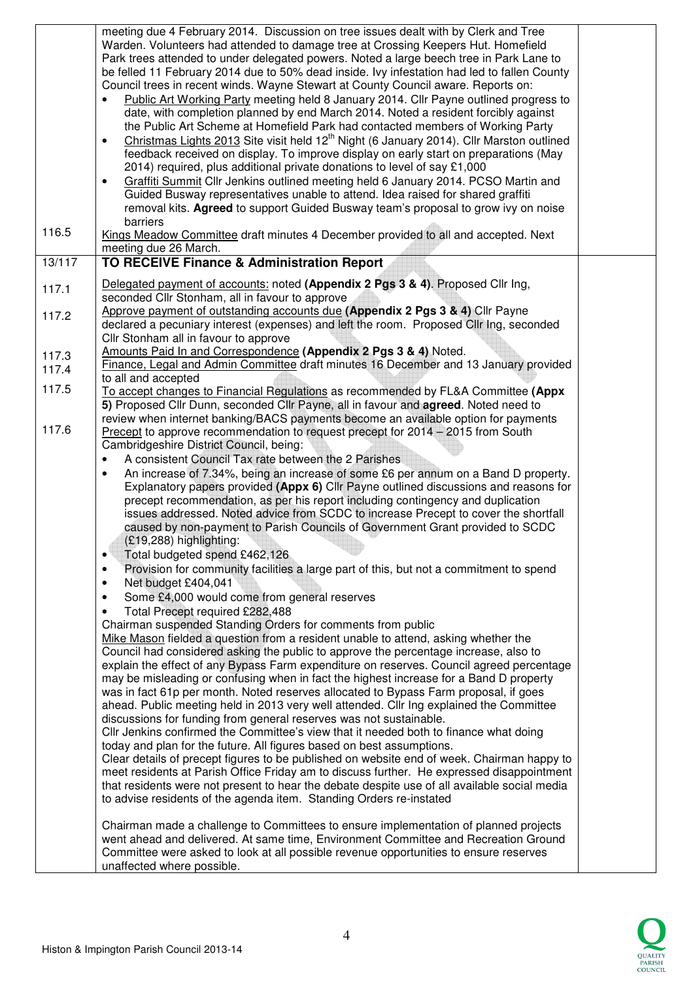|        | meeting due 4 February 2014. Discussion on tree issues dealt with by Clerk and Tree<br>Warden. Volunteers had attended to damage tree at Crossing Keepers Hut. Homefield<br>Park trees attended to under delegated powers. Noted a large beech tree in Park Lane to<br>be felled 11 February 2014 due to 50% dead inside. Ivy infestation had led to fallen County<br>Council trees in recent winds. Wayne Stewart at County Council aware. Reports on:<br>Public Art Working Party meeting held 8 January 2014. Cllr Payne outlined progress to<br>date, with completion planned by end March 2014. Noted a resident forcibly against<br>the Public Art Scheme at Homefield Park had contacted members of Working Party<br>Christmas Lights 2013 Site visit held 12 <sup>th</sup> Night (6 January 2014). Cllr Marston outlined<br>feedback received on display. To improve display on early start on preparations (May<br>2014) required, plus additional private donations to level of say £1,000<br>Graffiti Summit Cllr Jenkins outlined meeting held 6 January 2014. PCSO Martin and<br>٠<br>Guided Busway representatives unable to attend. Idea raised for shared graffiti<br>removal kits. Agreed to support Guided Busway team's proposal to grow ivy on noise<br>barriers                                                                                                                                                                                                                                                                                                                                                                                                                                                                                                                                                                                                                                                                                                                                                                                                                                                                                                                                                                                                                                                                                                                                                           |  |
|--------|------------------------------------------------------------------------------------------------------------------------------------------------------------------------------------------------------------------------------------------------------------------------------------------------------------------------------------------------------------------------------------------------------------------------------------------------------------------------------------------------------------------------------------------------------------------------------------------------------------------------------------------------------------------------------------------------------------------------------------------------------------------------------------------------------------------------------------------------------------------------------------------------------------------------------------------------------------------------------------------------------------------------------------------------------------------------------------------------------------------------------------------------------------------------------------------------------------------------------------------------------------------------------------------------------------------------------------------------------------------------------------------------------------------------------------------------------------------------------------------------------------------------------------------------------------------------------------------------------------------------------------------------------------------------------------------------------------------------------------------------------------------------------------------------------------------------------------------------------------------------------------------------------------------------------------------------------------------------------------------------------------------------------------------------------------------------------------------------------------------------------------------------------------------------------------------------------------------------------------------------------------------------------------------------------------------------------------------------------------------------------------------------------------------------------------------------|--|
| 116.5  | Kings Meadow Committee draft minutes 4 December provided to all and accepted. Next<br>meeting due 26 March.                                                                                                                                                                                                                                                                                                                                                                                                                                                                                                                                                                                                                                                                                                                                                                                                                                                                                                                                                                                                                                                                                                                                                                                                                                                                                                                                                                                                                                                                                                                                                                                                                                                                                                                                                                                                                                                                                                                                                                                                                                                                                                                                                                                                                                                                                                                                    |  |
| 13/117 | TO RECEIVE Finance & Administration Report                                                                                                                                                                                                                                                                                                                                                                                                                                                                                                                                                                                                                                                                                                                                                                                                                                                                                                                                                                                                                                                                                                                                                                                                                                                                                                                                                                                                                                                                                                                                                                                                                                                                                                                                                                                                                                                                                                                                                                                                                                                                                                                                                                                                                                                                                                                                                                                                     |  |
| 117.1  | Delegated payment of accounts: noted (Appendix 2 Pgs 3 & 4). Proposed Cllr Ing,<br>seconded Cllr Stonham, all in favour to approve                                                                                                                                                                                                                                                                                                                                                                                                                                                                                                                                                                                                                                                                                                                                                                                                                                                                                                                                                                                                                                                                                                                                                                                                                                                                                                                                                                                                                                                                                                                                                                                                                                                                                                                                                                                                                                                                                                                                                                                                                                                                                                                                                                                                                                                                                                             |  |
| 117.2  | Approve payment of outstanding accounts due (Appendix 2 Pgs 3 & 4) Cllr Payne<br>declared a pecuniary interest (expenses) and left the room. Proposed Cllr Ing, seconded<br>Cllr Stonham all in favour to approve                                                                                                                                                                                                                                                                                                                                                                                                                                                                                                                                                                                                                                                                                                                                                                                                                                                                                                                                                                                                                                                                                                                                                                                                                                                                                                                                                                                                                                                                                                                                                                                                                                                                                                                                                                                                                                                                                                                                                                                                                                                                                                                                                                                                                              |  |
| 117.3  | Amounts Paid In and Correspondence (Appendix 2 Pgs 3 & 4) Noted.                                                                                                                                                                                                                                                                                                                                                                                                                                                                                                                                                                                                                                                                                                                                                                                                                                                                                                                                                                                                                                                                                                                                                                                                                                                                                                                                                                                                                                                                                                                                                                                                                                                                                                                                                                                                                                                                                                                                                                                                                                                                                                                                                                                                                                                                                                                                                                               |  |
| 117.4  | Finance, Legal and Admin Committee draft minutes 16 December and 13 January provided                                                                                                                                                                                                                                                                                                                                                                                                                                                                                                                                                                                                                                                                                                                                                                                                                                                                                                                                                                                                                                                                                                                                                                                                                                                                                                                                                                                                                                                                                                                                                                                                                                                                                                                                                                                                                                                                                                                                                                                                                                                                                                                                                                                                                                                                                                                                                           |  |
| 117.5  | to all and accepted<br>To accept changes to Financial Regulations as recommended by FL&A Committee (Appx<br>5) Proposed Cllr Dunn, seconded Cllr Payne, all in favour and agreed. Noted need to                                                                                                                                                                                                                                                                                                                                                                                                                                                                                                                                                                                                                                                                                                                                                                                                                                                                                                                                                                                                                                                                                                                                                                                                                                                                                                                                                                                                                                                                                                                                                                                                                                                                                                                                                                                                                                                                                                                                                                                                                                                                                                                                                                                                                                                |  |
| 117.6  | review when internet banking/BACS payments become an available option for payments<br>Precept to approve recommendation to request precept for 2014 - 2015 from South<br>Cambridgeshire District Council, being:<br>A consistent Council Tax rate between the 2 Parishes<br>An increase of 7.34%, being an increase of some £6 per annum on a Band D property.<br>$\bullet$<br>Explanatory papers provided (Appx 6) Cllr Payne outlined discussions and reasons for<br>precept recommendation, as per his report including contingency and duplication<br>issues addressed. Noted advice from SCDC to increase Precept to cover the shortfall<br>caused by non-payment to Parish Councils of Government Grant provided to SCDC<br>(£19,288) highlighting:<br>Total budgeted spend £462,126<br>٠<br>Provision for community facilities a large part of this, but not a commitment to spend<br>٠<br>Net budget £404,041<br>٠<br>Some £4,000 would come from general reserves<br>$\bullet$<br>Total Precept required £282,488<br>٠<br>Chairman suspended Standing Orders for comments from public<br>Mike Mason fielded a question from a resident unable to attend, asking whether the<br>Council had considered asking the public to approve the percentage increase, also to<br>explain the effect of any Bypass Farm expenditure on reserves. Council agreed percentage<br>may be misleading or confusing when in fact the highest increase for a Band D property<br>was in fact 61p per month. Noted reserves allocated to Bypass Farm proposal, if goes<br>ahead. Public meeting held in 2013 very well attended. Cllr Ing explained the Committee<br>discussions for funding from general reserves was not sustainable.<br>Cllr Jenkins confirmed the Committee's view that it needed both to finance what doing<br>today and plan for the future. All figures based on best assumptions.<br>Clear details of precept figures to be published on website end of week. Chairman happy to<br>meet residents at Parish Office Friday am to discuss further. He expressed disappointment<br>that residents were not present to hear the debate despite use of all available social media<br>to advise residents of the agenda item. Standing Orders re-instated<br>Chairman made a challenge to Committees to ensure implementation of planned projects<br>went ahead and delivered. At same time, Environment Committee and Recreation Ground |  |
|        | Committee were asked to look at all possible revenue opportunities to ensure reserves<br>unaffected where possible.                                                                                                                                                                                                                                                                                                                                                                                                                                                                                                                                                                                                                                                                                                                                                                                                                                                                                                                                                                                                                                                                                                                                                                                                                                                                                                                                                                                                                                                                                                                                                                                                                                                                                                                                                                                                                                                                                                                                                                                                                                                                                                                                                                                                                                                                                                                            |  |

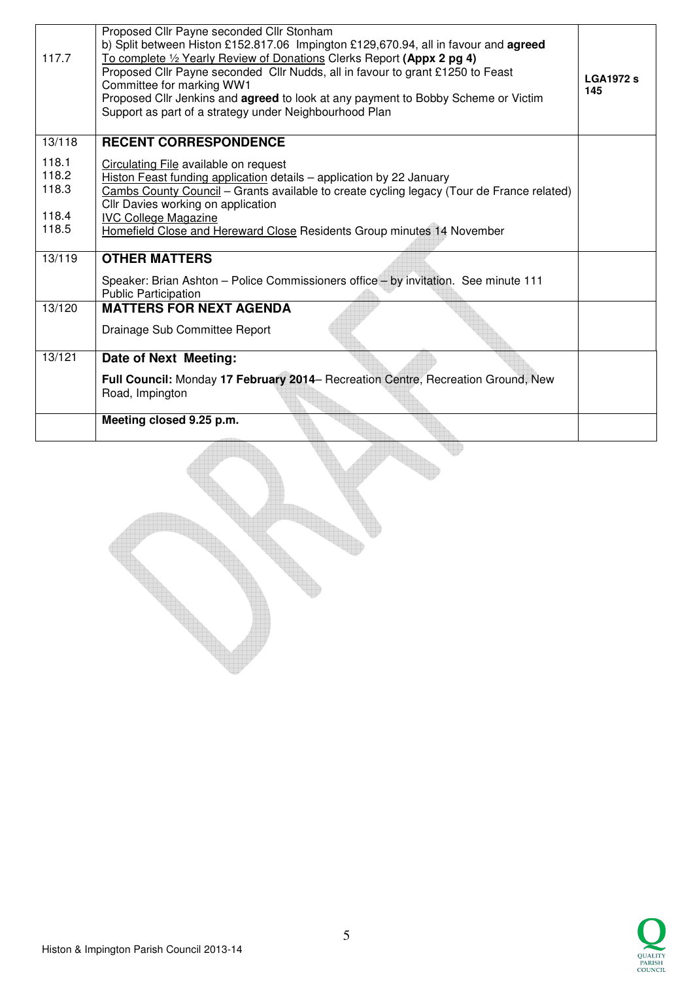| 117.7  | Proposed Cllr Payne seconded Cllr Stonham<br>b) Split between Histon £152.817.06 Impington £129,670.94, all in favour and agreed<br>To complete 1/2 Yearly Review of Donations Clerks Report (Appx 2 pg 4)<br>Proposed Cllr Payne seconded Cllr Nudds, all in favour to grant £1250 to Feast<br>Committee for marking WW1<br>Proposed Cllr Jenkins and agreed to look at any payment to Bobby Scheme or Victim<br>Support as part of a strategy under Neighbourhood Plan | <b>LGA1972 s</b><br>145 |
|--------|--------------------------------------------------------------------------------------------------------------------------------------------------------------------------------------------------------------------------------------------------------------------------------------------------------------------------------------------------------------------------------------------------------------------------------------------------------------------------|-------------------------|
| 13/118 | <b>RECENT CORRESPONDENCE</b>                                                                                                                                                                                                                                                                                                                                                                                                                                             |                         |
| 118.1  | Circulating File available on request                                                                                                                                                                                                                                                                                                                                                                                                                                    |                         |
| 118.2  | Histon Feast funding application details - application by 22 January                                                                                                                                                                                                                                                                                                                                                                                                     |                         |
| 118.3  | Cambs County Council - Grants available to create cycling legacy (Tour de France related)                                                                                                                                                                                                                                                                                                                                                                                |                         |
|        | Cllr Davies working on application                                                                                                                                                                                                                                                                                                                                                                                                                                       |                         |
| 118.4  | <b>IVC College Magazine</b>                                                                                                                                                                                                                                                                                                                                                                                                                                              |                         |
| 118.5  | Homefield Close and Hereward Close Residents Group minutes 14 November                                                                                                                                                                                                                                                                                                                                                                                                   |                         |
|        |                                                                                                                                                                                                                                                                                                                                                                                                                                                                          |                         |
| 13/119 | <b>OTHER MATTERS</b>                                                                                                                                                                                                                                                                                                                                                                                                                                                     |                         |
|        | Speaker: Brian Ashton - Police Commissioners office - by invitation. See minute 111<br><b>Public Participation</b>                                                                                                                                                                                                                                                                                                                                                       |                         |
| 13/120 | <b>MATTERS FOR NEXT AGENDA</b>                                                                                                                                                                                                                                                                                                                                                                                                                                           |                         |
|        | Drainage Sub Committee Report                                                                                                                                                                                                                                                                                                                                                                                                                                            |                         |
| 13/121 | Date of Next Meeting:                                                                                                                                                                                                                                                                                                                                                                                                                                                    |                         |
|        | Full Council: Monday 17 February 2014- Recreation Centre, Recreation Ground, New<br>Road, Impington                                                                                                                                                                                                                                                                                                                                                                      |                         |
|        | Meeting closed 9.25 p.m.                                                                                                                                                                                                                                                                                                                                                                                                                                                 |                         |
|        |                                                                                                                                                                                                                                                                                                                                                                                                                                                                          |                         |

U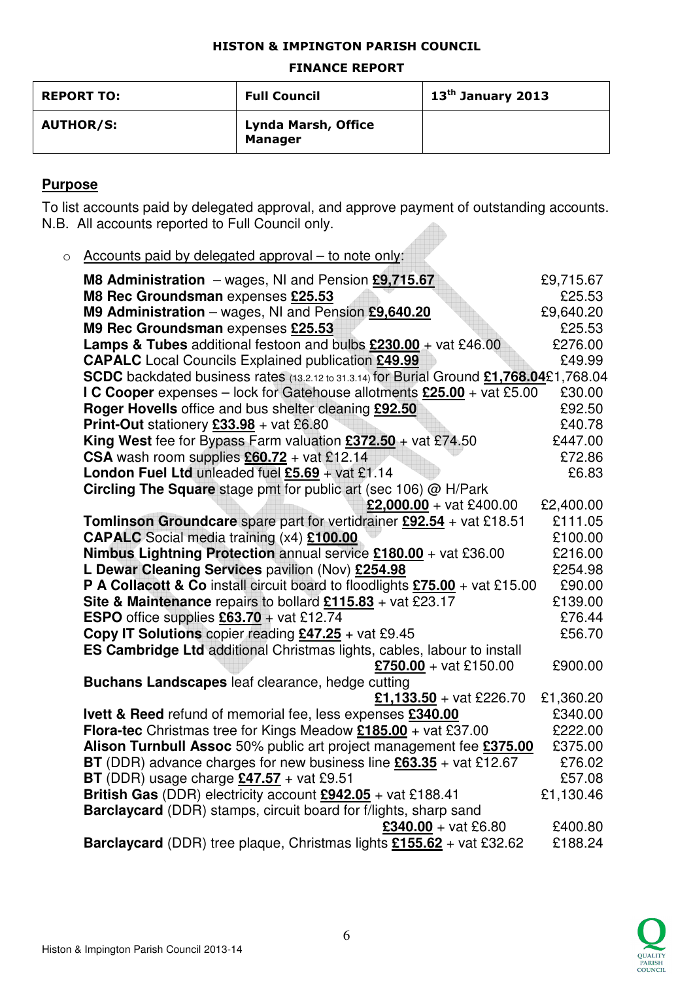## HISTON & IMPINGTON PARISH COUNCIL

### FINANCE REPORT

| <b>REPORT TO:</b> | <b>Full Council</b>                          | $13th$ January 2013 |
|-------------------|----------------------------------------------|---------------------|
| <b>AUTHOR/S:</b>  | <b>Lynda Marsh, Office</b><br><b>Manager</b> |                     |

## **Purpose**

To list accounts paid by delegated approval, and approve payment of outstanding accounts. N.B. All accounts reported to Full Council only.

o Accounts paid by delegated approval – to note only:

| M8 Administration - wages, NI and Pension £9,715.67                                                              | £9,715.67 |
|------------------------------------------------------------------------------------------------------------------|-----------|
| M8 Rec Groundsman expenses £25.53                                                                                | £25.53    |
| M9 Administration - wages, NI and Pension £9,640.20                                                              | £9,640.20 |
| M9 Rec Groundsman expenses £25.53                                                                                | £25.53    |
| Lamps & Tubes additional festoon and bulbs £230.00 + vat £46.00                                                  | £276.00   |
| <b>CAPALC</b> Local Councils Explained publication £49.99                                                        | £49.99    |
| SCDC backdated business rates (13.2.12 to 31.3.14) for Burial Ground £1,768.04£1,768.04                          | £30.00    |
| I C Cooper expenses - lock for Gatehouse allotments £25.00 + vat £5.00                                           | £92.50    |
| Roger Hovells office and bus shelter cleaning £92.50<br><b>Print-Out</b> stationery $£33.98 + \text{vat } £6.80$ | £40.78    |
| <b>King West</b> fee for Bypass Farm valuation $£372.50 +$ vat £74.50                                            | £447.00   |
| CSA wash room supplies $£60.72 + \text{vat } £12.14$                                                             | £72.86    |
| London Fuel Ltd unleaded fuel $£5.69 + \text{vat } £1.14$                                                        | £6.83     |
| <b>Circling The Square</b> stage pmt for public art (sec 106) @ H/Park                                           |           |
| £2,000.00 + vat £400.00                                                                                          | £2,400.00 |
| Tomlinson Groundcare spare part for vertidrainer £92.54 + vat £18.51                                             | £111.05   |
| <b>CAPALC</b> Social media training (x4) £100.00                                                                 | £100.00   |
| Nimbus Lightning Protection annual service £180.00 + vat £36.00                                                  | £216.00   |
| L Dewar Cleaning Services pavilion (Nov) £254.98                                                                 | £254.98   |
| P A Collacott & Co install circuit board to floodlights £75.00 + vat £15.00                                      | £90.00    |
| Site & Maintenance repairs to bollard $£115.83 +$ vat £23.17                                                     | £139.00   |
| <b>ESPO</b> office supplies $£63.70 + \text{vat } £12.74$                                                        | £76.44    |
| Copy IT Solutions copier reading $£47.25 +$ vat £9.45                                                            | £56.70    |
| ES Cambridge Ltd additional Christmas lights, cables, labour to install                                          |           |
| £750.00 + vat £150.00                                                                                            | £900.00   |
| Buchans Landscapes leaf clearance, hedge cutting                                                                 |           |
| £1,133.50 + vat £226.70                                                                                          | £1,360.20 |
| Ivett & Reed refund of memorial fee, less expenses £340.00                                                       | £340.00   |
| Flora-tec Christmas tree for Kings Meadow $£185.00 +$ vat £37.00                                                 | £222.00   |
| Alison Turnbull Assoc 50% public art project management fee £375.00                                              | £375.00   |
| <b>BT</b> (DDR) advance charges for new business line $\frac{63.35}{100}$ + vat £12.67                           | £76.02    |
| BT (DDR) usage charge $£47.57 +$ vat £9.51                                                                       | £57.08    |
| British Gas (DDR) electricity account $£942.05 +$ vat £188.41                                                    | £1,130.46 |
| Barclaycard (DDR) stamps, circuit board for f/lights, sharp sand                                                 |           |
| $£340.00 + vat £6.80$                                                                                            | £400.80   |
| Barclaycard (DDR) tree plaque, Christmas lights £155.62 + vat £32.62                                             | £188.24   |